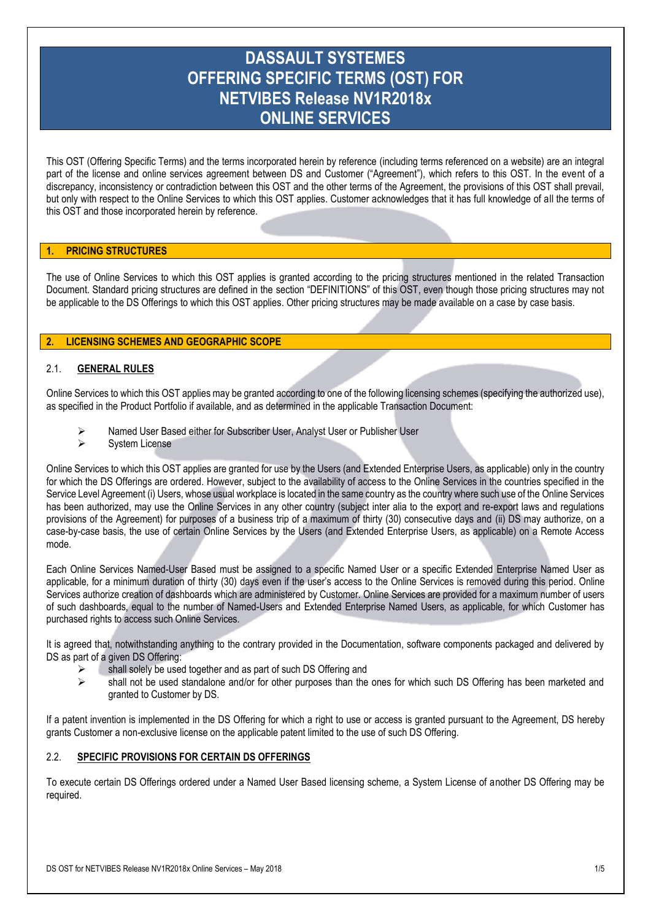# **DASSAULT SYSTEMES OFFERING SPECIFIC TERMS (OST) FOR NETVIBES Release NV1R2018x ONLINE SERVICES**

This OST (Offering Specific Terms) and the terms incorporated herein by reference (including terms referenced on a website) are an integral part of the license and online services agreement between DS and Customer ("Agreement"), which refers to this OST. In the event of a discrepancy, inconsistency or contradiction between this OST and the other terms of the Agreement, the provisions of this OST shall prevail, but only with respect to the Online Services to which this OST applies. Customer acknowledges that it has full knowledge of all the terms of this OST and those incorporated herein by reference.

## **1. PRICING STRUCTURES**

The use of Online Services to which this OST applies is granted according to the pricing structures mentioned in the related Transaction Document. Standard pricing structures are defined in the section "DEFINITIONS" of this OST, even though those pricing structures may not be applicable to the DS Offerings to which this OST applies. Other pricing structures may be made available on a case by case basis.

# **2. LICENSING SCHEMES AND GEOGRAPHIC SCOPE**

## 2.1. **GENERAL RULES**

Online Services to which this OST applies may be granted according to one of the following licensing schemes (specifying the authorized use), as specified in the Product Portfolio if available, and as determined in the applicable Transaction Document:

- Named User Based either for Subscriber User, Analyst User or Publisher User
- > System License

Online Services to which this OST applies are granted for use by the Users (and Extended Enterprise Users, as applicable) only in the country for which the DS Offerings are ordered. However, subject to the availability of access to the Online Services in the countries specified in the Service Level Agreement (i) Users, whose usual workplace is located in the same country as the country where such use of the Online Services has been authorized, may use the Online Services in any other country (subject inter alia to the export and re-export laws and regulations provisions of the Agreement) for purposes of a business trip of a maximum of thirty (30) consecutive days and (ii) DS may authorize, on a case-by-case basis, the use of certain Online Services by the Users (and Extended Enterprise Users, as applicable) on a Remote Access mode.

Each Online Services Named-User Based must be assigned to a specific Named User or a specific Extended Enterprise Named User as applicable, for a minimum duration of thirty (30) days even if the user's access to the Online Services is removed during this period. Online Services authorize creation of dashboards which are administered by Customer. Online Services are provided for a maximum number of users of such dashboards, equal to the number of Named-Users and Extended Enterprise Named Users, as applicable, for which Customer has purchased rights to access such Online Services.

It is agreed that, notwithstanding anything to the contrary provided in the Documentation, software components packaged and delivered by DS as part of a given DS Offering:

- shall solely be used together and as part of such DS Offering and
- shall not be used standalone and/or for other purposes than the ones for which such DS Offering has been marketed and granted to Customer by DS.

If a patent invention is implemented in the DS Offering for which a right to use or access is granted pursuant to the Agreement, DS hereby grants Customer a non-exclusive license on the applicable patent limited to the use of such DS Offering.

## 2.2. **SPECIFIC PROVISIONS FOR CERTAIN DS OFFERINGS**

To execute certain DS Offerings ordered under a Named User Based licensing scheme, a System License of another DS Offering may be required.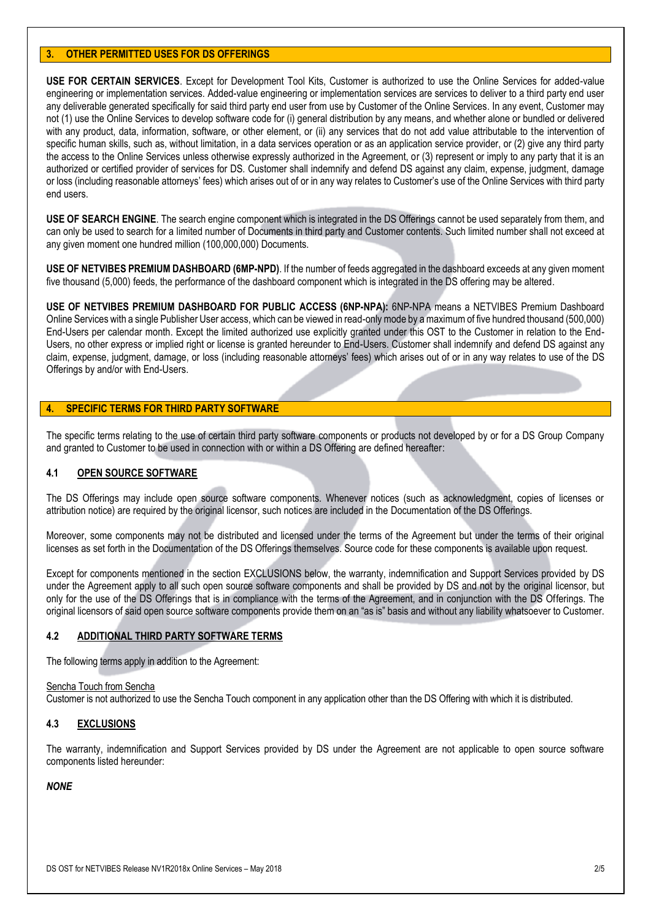## **3. OTHER PERMITTED USES FOR DS OFFERINGS**

**USE FOR CERTAIN SERVICES**. Except for Development Tool Kits, Customer is authorized to use the Online Services for added-value engineering or implementation services. Added-value engineering or implementation services are services to deliver to a third party end user any deliverable generated specifically for said third party end user from use by Customer of the Online Services. In any event, Customer may not (1) use the Online Services to develop software code for (i) general distribution by any means, and whether alone or bundled or delivered with any product, data, information, software, or other element, or (ii) any services that do not add value attributable to the intervention of specific human skills, such as, without limitation, in a data services operation or as an application service provider, or (2) give any third party the access to the Online Services unless otherwise expressly authorized in the Agreement, or (3) represent or imply to any party that it is an authorized or certified provider of services for DS. Customer shall indemnify and defend DS against any claim, expense, judgment, damage or loss (including reasonable attorneys' fees) which arises out of or in any way relates to Customer's use of the Online Services with third party end users.

**USE OF SEARCH ENGINE**. The search engine component which is integrated in the DS Offerings cannot be used separately from them, and can only be used to search for a limited number of Documents in third party and Customer contents. Such limited number shall not exceed at any given moment one hundred million (100,000,000) Documents.

**USE OF NETVIBES PREMIUM DASHBOARD (6MP-NPD)**. If the number of feeds aggregated in the dashboard exceeds at any given moment five thousand (5,000) feeds, the performance of the dashboard component which is integrated in the DS offering may be altered.

**USE OF NETVIBES PREMIUM DASHBOARD FOR PUBLIC ACCESS (6NP-NPA):** 6NP-NPA means a NETVIBES Premium Dashboard Online Services with a single Publisher User access, which can be viewed in read-only mode by a maximum of five hundred thousand (500,000) End-Users per calendar month. Except the limited authorized use explicitly granted under this OST to the Customer in relation to the End-Users, no other express or implied right or license is granted hereunder to End-Users. Customer shall indemnify and defend DS against any claim, expense, judgment, damage, or loss (including reasonable attorneys' fees) which arises out of or in any way relates to use of the DS Offerings by and/or with End-Users.

## **4. SPECIFIC TERMS FOR THIRD PARTY SOFTWARE**

The specific terms relating to the use of certain third party software components or products not developed by or for a DS Group Company and granted to Customer to be used in connection with or within a DS Offering are defined hereafter:

## **4.1 OPEN SOURCE SOFTWARE**

The DS Offerings may include open source software components. Whenever notices (such as acknowledgment, copies of licenses or attribution notice) are required by the original licensor, such notices are included in the Documentation of the DS Offerings.

Moreover, some components may not be distributed and licensed under the terms of the Agreement but under the terms of their original licenses as set forth in the Documentation of the DS Offerings themselves. Source code for these components is available upon request.

Except for components mentioned in the section EXCLUSIONS below, the warranty, indemnification and Support Services provided by DS under the Agreement apply to all such open source software components and shall be provided by DS and not by the original licensor, but only for the use of the DS Offerings that is in compliance with the terms of the Agreement, and in conjunction with the DS Offerings. The original licensors of said open source software components provide them on an "as is" basis and without any liability whatsoever to Customer.

## **4.2 ADDITIONAL THIRD PARTY SOFTWARE TERMS**

The following terms apply in addition to the Agreement:

#### Sencha Touch from Sencha

Customer is not authorized to use the Sencha Touch component in any application other than the DS Offering with which it is distributed.

## **4.3 EXCLUSIONS**

The warranty, indemnification and Support Services provided by DS under the Agreement are not applicable to open source software components listed hereunder:

## *NONE*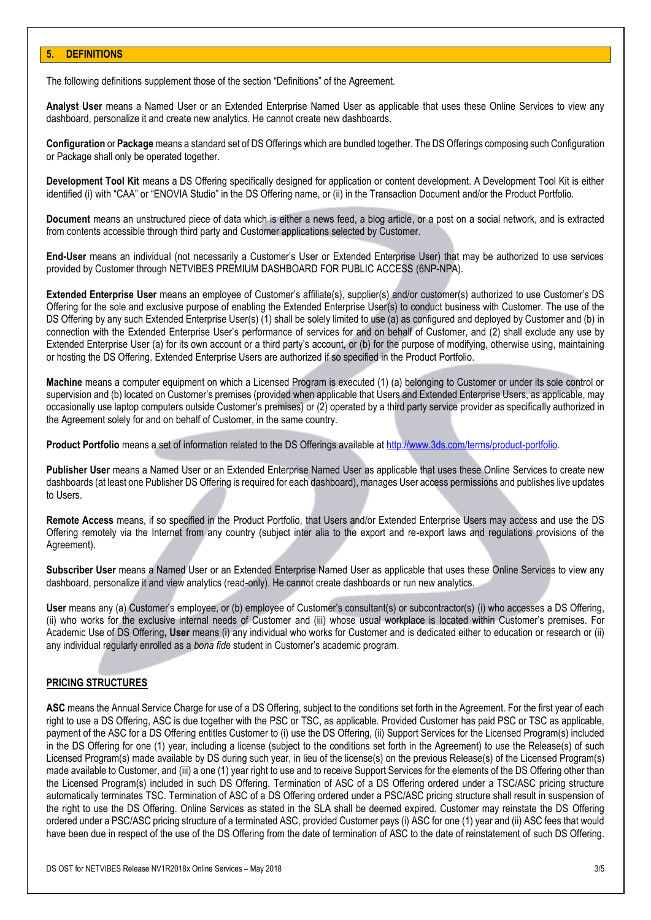#### **5. DEFINITIONS**

The following definitions supplement those of the section "Definitions" of the Agreement.

**Analyst User** means a Named User or an Extended Enterprise Named User as applicable that uses these Online Services to view any dashboard, personalize it and create new analytics. He cannot create new dashboards.

**Configuration** or **Package** means a standard set of DS Offerings which are bundled together. The DS Offerings composing such Configuration or Package shall only be operated together.

**Development Tool Kit** means a DS Offering specifically designed for application or content development. A Development Tool Kit is either identified (i) with "CAA" or "ENOVIA Studio" in the DS Offering name, or (ii) in the Transaction Document and/or the Product Portfolio.

**Document** means an unstructured piece of data which is either a news feed, a blog article, or a post on a social network, and is extracted from contents accessible through third party and Customer applications selected by Customer.

**End-User** means an individual (not necessarily a Customer's User or Extended Enterprise User) that may be authorized to use services provided by Customer through NETVIBES PREMIUM DASHBOARD FOR PUBLIC ACCESS (6NP-NPA).

**Extended Enterprise User** means an employee of Customer's affiliate(s), supplier(s) and/or customer(s) authorized to use Customer's DS Offering for the sole and exclusive purpose of enabling the Extended Enterprise User(s) to conduct business with Customer. The use of the DS Offering by any such Extended Enterprise User(s) (1) shall be solely limited to use (a) as configured and deployed by Customer and (b) in connection with the Extended Enterprise User's performance of services for and on behalf of Customer, and (2) shall exclude any use by Extended Enterprise User (a) for its own account or a third party's account, or (b) for the purpose of modifying, otherwise using, maintaining or hosting the DS Offering. Extended Enterprise Users are authorized if so specified in the Product Portfolio.

**Machine** means a computer equipment on which a Licensed Program is executed (1) (a) belonging to Customer or under its sole control or supervision and (b) located on Customer's premises (provided when applicable that Users and Extended Enterprise Users, as applicable, may occasionally use laptop computers outside Customer's premises) or (2) operated by a third party service provider as specifically authorized in the Agreement solely for and on behalf of Customer, in the same country.

**Product Portfolio** means a set of information related to the DS Offerings available at [http://www.3ds.com/terms/product-portfolio.](http://www.3ds.com/terms/product-portfolio)

**Publisher User** means a Named User or an Extended Enterprise Named User as applicable that uses these Online Services to create new dashboards (at least one Publisher DS Offering is required for each dashboard), manages User access permissions and publishes live updates to Users.

**Remote Access** means, if so specified in the Product Portfolio, that Users and/or Extended Enterprise Users may access and use the DS Offering remotely via the Internet from any country (subject inter alia to the export and re-export laws and regulations provisions of the Agreement).

**Subscriber User** means a Named User or an Extended Enterprise Named User as applicable that uses these Online Services to view any dashboard, personalize it and view analytics (read-only). He cannot create dashboards or run new analytics.

**User** means any (a) Customer's employee, or (b) employee of Customer's consultant(s) or subcontractor(s) (i) who accesses a DS Offering, (ii) who works for the exclusive internal needs of Customer and (iii) whose usual workplace is located within Customer's premises. For Academic Use of DS Offering**, User** means (i) any individual who works for Customer and is dedicated either to education or research or (ii) any individual regularly enrolled as a *bona fide* student in Customer's academic program.

## **PRICING STRUCTURES**

**ASC** means the Annual Service Charge for use of a DS Offering, subject to the conditions set forth in the Agreement. For the first year of each right to use a DS Offering, ASC is due together with the PSC or TSC, as applicable. Provided Customer has paid PSC or TSC as applicable, payment of the ASC for a DS Offering entitles Customer to (i) use the DS Offering, (ii) Support Services for the Licensed Program(s) included in the DS Offering for one (1) year, including a license (subject to the conditions set forth in the Agreement) to use the Release(s) of such Licensed Program(s) made available by DS during such year, in lieu of the license(s) on the previous Release(s) of the Licensed Program(s) made available to Customer, and (iii) a one (1) year right to use and to receive Support Services for the elements of the DS Offering other than the Licensed Program(s) included in such DS Offering. Termination of ASC of a DS Offering ordered under a TSC/ASC pricing structure automatically terminates TSC. Termination of ASC of a DS Offering ordered under a PSC/ASC pricing structure shall result in suspension of the right to use the DS Offering. Online Services as stated in the SLA shall be deemed expired. Customer may reinstate the DS Offering ordered under a PSC/ASC pricing structure of a terminated ASC, provided Customer pays (i) ASC for one (1) year and (ii) ASC fees that would have been due in respect of the use of the DS Offering from the date of termination of ASC to the date of reinstatement of such DS Offering.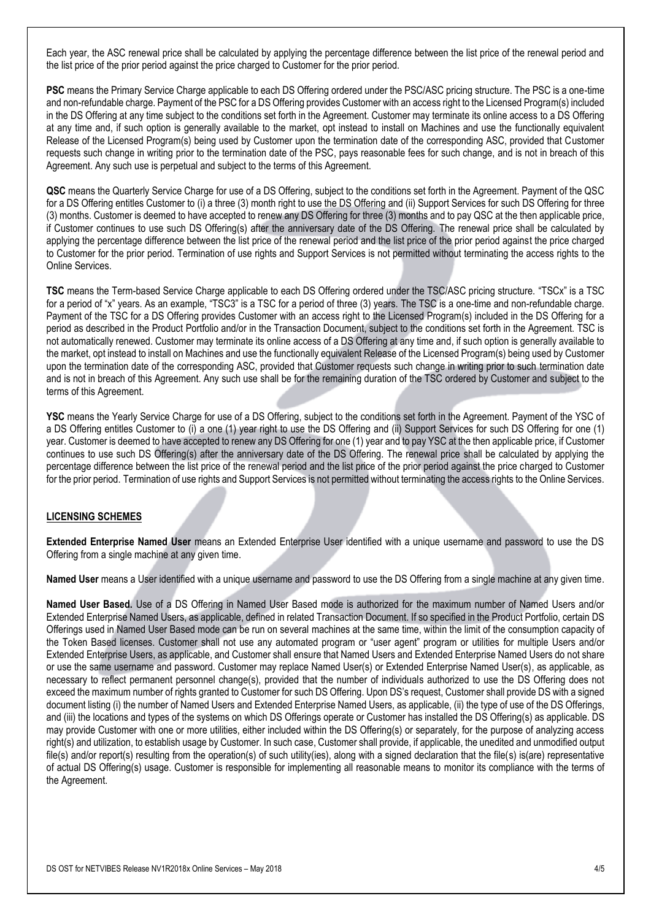Each year, the ASC renewal price shall be calculated by applying the percentage difference between the list price of the renewal period and the list price of the prior period against the price charged to Customer for the prior period.

**PSC** means the Primary Service Charge applicable to each DS Offering ordered under the PSC/ASC pricing structure. The PSC is a one-time and non-refundable charge. Payment of the PSC for a DS Offering provides Customer with an access right to the Licensed Program(s) included in the DS Offering at any time subject to the conditions set forth in the Agreement. Customer may terminate its online access to a DS Offering at any time and, if such option is generally available to the market, opt instead to install on Machines and use the functionally equivalent Release of the Licensed Program(s) being used by Customer upon the termination date of the corresponding ASC, provided that Customer requests such change in writing prior to the termination date of the PSC, pays reasonable fees for such change, and is not in breach of this Agreement. Any such use is perpetual and subject to the terms of this Agreement.

**QSC** means the Quarterly Service Charge for use of a DS Offering, subject to the conditions set forth in the Agreement. Payment of the QSC for a DS Offering entitles Customer to (i) a three (3) month right to use the DS Offering and (ii) Support Services for such DS Offering for three (3) months. Customer is deemed to have accepted to renew any DS Offering for three (3) months and to pay QSC at the then applicable price, if Customer continues to use such DS Offering(s) after the anniversary date of the DS Offering. The renewal price shall be calculated by applying the percentage difference between the list price of the renewal period and the list price of the prior period against the price charged to Customer for the prior period. Termination of use rights and Support Services is not permitted without terminating the access rights to the Online Services.

**TSC** means the Term-based Service Charge applicable to each DS Offering ordered under the TSC/ASC pricing structure. "TSCx" is a TSC for a period of "x" years. As an example, "TSC3" is a TSC for a period of three (3) years. The TSC is a one-time and non-refundable charge. Payment of the TSC for a DS Offering provides Customer with an access right to the Licensed Program(s) included in the DS Offering for a period as described in the Product Portfolio and/or in the Transaction Document, subject to the conditions set forth in the Agreement. TSC is not automatically renewed. Customer may terminate its online access of a DS Offering at any time and, if such option is generally available to the market, opt instead to install on Machines and use the functionally equivalent Release of the Licensed Program(s) being used by Customer upon the termination date of the corresponding ASC, provided that Customer requests such change in writing prior to such termination date and is not in breach of this Agreement. Any such use shall be for the remaining duration of the TSC ordered by Customer and subject to the terms of this Agreement.

**YSC** means the Yearly Service Charge for use of a DS Offering, subject to the conditions set forth in the Agreement. Payment of the YSC of a DS Offering entitles Customer to (i) a one (1) year right to use the DS Offering and (ii) Support Services for such DS Offering for one (1) year. Customer is deemed to have accepted to renew any DS Offering for one (1) year and to pay YSC at the then applicable price, if Customer continues to use such DS Offering(s) after the anniversary date of the DS Offering. The renewal price shall be calculated by applying the percentage difference between the list price of the renewal period and the list price of the prior period against the price charged to Customer for the prior period. Termination of use rights and Support Services is not permitted without terminating the access rights to the Online Services.

## **LICENSING SCHEMES**

**Extended Enterprise Named User** means an Extended Enterprise User identified with a unique username and password to use the DS Offering from a single machine at any given time.

**Named User** means a User identified with a unique username and password to use the DS Offering from a single machine at any given time.

**Named User Based.** Use of a DS Offering in Named User Based mode is authorized for the maximum number of Named Users and/or Extended Enterprise Named Users, as applicable, defined in related Transaction Document. If so specified in the Product Portfolio, certain DS Offerings used in Named User Based mode can be run on several machines at the same time, within the limit of the consumption capacity of the Token Based licenses. Customer shall not use any automated program or "user agent" program or utilities for multiple Users and/or Extended Enterprise Users, as applicable, and Customer shall ensure that Named Users and Extended Enterprise Named Users do not share or use the same username and password. Customer may replace Named User(s) or Extended Enterprise Named User(s), as applicable, as necessary to reflect permanent personnel change(s), provided that the number of individuals authorized to use the DS Offering does not exceed the maximum number of rights granted to Customer for such DS Offering. Upon DS's request, Customer shall provide DS with a signed document listing (i) the number of Named Users and Extended Enterprise Named Users, as applicable, (ii) the type of use of the DS Offerings, and (iii) the locations and types of the systems on which DS Offerings operate or Customer has installed the DS Offering(s) as applicable. DS may provide Customer with one or more utilities, either included within the DS Offering(s) or separately, for the purpose of analyzing access right(s) and utilization, to establish usage by Customer. In such case, Customer shall provide, if applicable, the unedited and unmodified output file(s) and/or report(s) resulting from the operation(s) of such utility(ies), along with a signed declaration that the file(s) is(are) representative of actual DS Offering(s) usage. Customer is responsible for implementing all reasonable means to monitor its compliance with the terms of the Agreement.